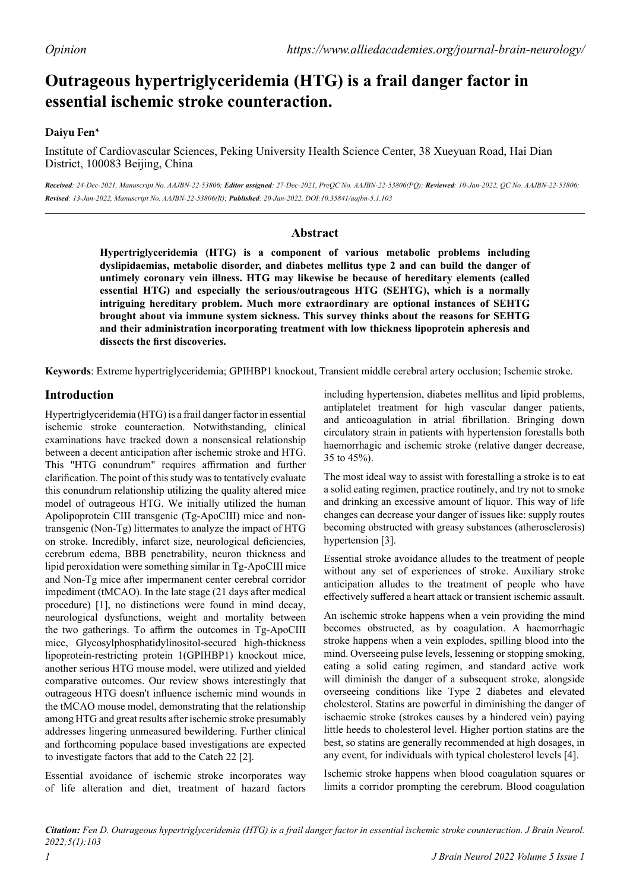# **Outrageous hypertriglyceridemia (HTG) is a frail danger factor in essential ischemic stroke counteraction.**

## **Daiyu Fen\***

Institute of Cardiovascular Sciences, Peking University Health Science Center, 38 Xueyuan Road, Hai Dian District, 100083 Beijing, China

*Received: 24-Dec-2021, Manuscript No. AAJBN-22-53806; Editor assigned: 27-Dec-2021, PreQC No. AAJBN-22-53806(PQ); Reviewed: 10-Jan-2022, QC No. AAJBN-22-53806; Revised: 13-Jan-2022, Manuscript No. AAJBN-22-53806(R); Published: 20-Jan-2022, DOI:10.35841/aajbn-5.1.103*

## **Abstract**

**Hypertriglyceridemia (HTG) is a component of various metabolic problems including dyslipidaemias, metabolic disorder, and diabetes mellitus type 2 and can build the danger of untimely coronary vein illness. HTG may likewise be because of hereditary elements (called essential HTG) and especially the serious/outrageous HTG (SEHTG), which is a normally intriguing hereditary problem. Much more extraordinary are optional instances of SEHTG brought about via immune system sickness. This survey thinks about the reasons for SEHTG and their administration incorporating treatment with low thickness lipoprotein apheresis and dissects the first discoveries.**

**Keywords**: Extreme hypertriglyceridemia; GPIHBP1 knockout, Transient middle cerebral artery occlusion; Ischemic stroke.

# **Introduction**

Hypertriglyceridemia (HTG) is a frail danger factor in essential ischemic stroke counteraction. Notwithstanding, clinical examinations have tracked down a nonsensical relationship between a decent anticipation after ischemic stroke and HTG. This "HTG conundrum" requires affirmation and further clarification. The point of this study was to tentatively evaluate this conundrum relationship utilizing the quality altered mice model of outrageous HTG. We initially utilized the human Apolipoprotein CIII transgenic (Tg-ApoCIII) mice and nontransgenic (Non-Tg) littermates to analyze the impact of HTG on stroke. Incredibly, infarct size, neurological deficiencies, cerebrum edema, BBB penetrability, neuron thickness and lipid peroxidation were something similar in Tg-ApoCIII mice and Non-Tg mice after impermanent center cerebral corridor impediment (tMCAO). In the late stage (21 days after medical procedure) [1], no distinctions were found in mind decay, neurological dysfunctions, weight and mortality between the two gatherings. To affirm the outcomes in Tg-ApoCIII mice, Glycosylphosphatidylinositol-secured high-thickness lipoprotein-restricting protein 1(GPIHBP1) knockout mice, another serious HTG mouse model, were utilized and yielded comparative outcomes. Our review shows interestingly that outrageous HTG doesn't influence ischemic mind wounds in the tMCAO mouse model, demonstrating that the relationship among HTG and great results after ischemic stroke presumably addresses lingering unmeasured bewildering. Further clinical and forthcoming populace based investigations are expected to investigate factors that add to the Catch 22 [2].

Essential avoidance of ischemic stroke incorporates way of life alteration and diet, treatment of hazard factors

including hypertension, diabetes mellitus and lipid problems, antiplatelet treatment for high vascular danger patients, and anticoagulation in atrial fibrillation. Bringing down circulatory strain in patients with hypertension forestalls both haemorrhagic and ischemic stroke (relative danger decrease, 35 to 45%).

The most ideal way to assist with forestalling a stroke is to eat a solid eating regimen, practice routinely, and try not to smoke and drinking an excessive amount of liquor. This way of life changes can decrease your danger of issues like: supply routes becoming obstructed with greasy substances (atherosclerosis) hypertension [3].

Essential stroke avoidance alludes to the treatment of people without any set of experiences of stroke. Auxiliary stroke anticipation alludes to the treatment of people who have effectively suffered a heart attack or transient ischemic assault.

An ischemic stroke happens when a vein providing the mind becomes obstructed, as by coagulation. A haemorrhagic stroke happens when a vein explodes, spilling blood into the mind. Overseeing pulse levels, lessening or stopping smoking, eating a solid eating regimen, and standard active work will diminish the danger of a subsequent stroke, alongside overseeing conditions like Type 2 diabetes and elevated cholesterol. Statins are powerful in diminishing the danger of ischaemic stroke (strokes causes by a hindered vein) paying little heeds to cholesterol level. Higher portion statins are the best, so statins are generally recommended at high dosages, in any event, for individuals with typical cholesterol levels [4].

Ischemic stroke happens when blood coagulation squares or limits a corridor prompting the cerebrum. Blood coagulation

*Citation: Fen D. Outrageous hypertriglyceridemia (HTG) is a frail danger factor in essential ischemic stroke counteraction. J Brain Neurol. 2022;5(1):103*